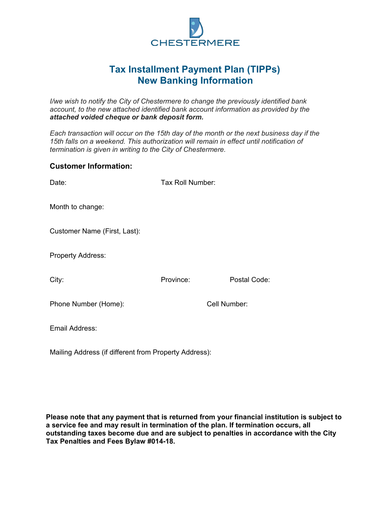

## **Tax Installment Payment Plan (TIPPs) New Banking Information**

*I/we wish to notify the City of Chestermere to change the previously identified bank account, to the new attached identified bank account information as provided by the attached voided cheque or bank deposit form.* 

*Each transaction will occur on the 15th day of the month or the next business day if the 15th falls on a weekend. This authorization will remain in effect until notification of termination is given in writing to the City of Chestermere.*

## **Customer Information:**

| Date:                                                 | Tax Roll Number: |              |
|-------------------------------------------------------|------------------|--------------|
| Month to change:                                      |                  |              |
| Customer Name (First, Last):                          |                  |              |
| <b>Property Address:</b>                              |                  |              |
| City:                                                 | Province:        | Postal Code: |
| Phone Number (Home):                                  | Cell Number:     |              |
| Email Address:                                        |                  |              |
| Mailing Address (if different from Property Address): |                  |              |

**Please note that any payment that is returned from your financial institution is subject to a service fee and may result in termination of the plan. If termination occurs, all outstanding taxes become due and are subject to penalties in accordance with the City Tax Penalties and Fees Bylaw #014-18.**